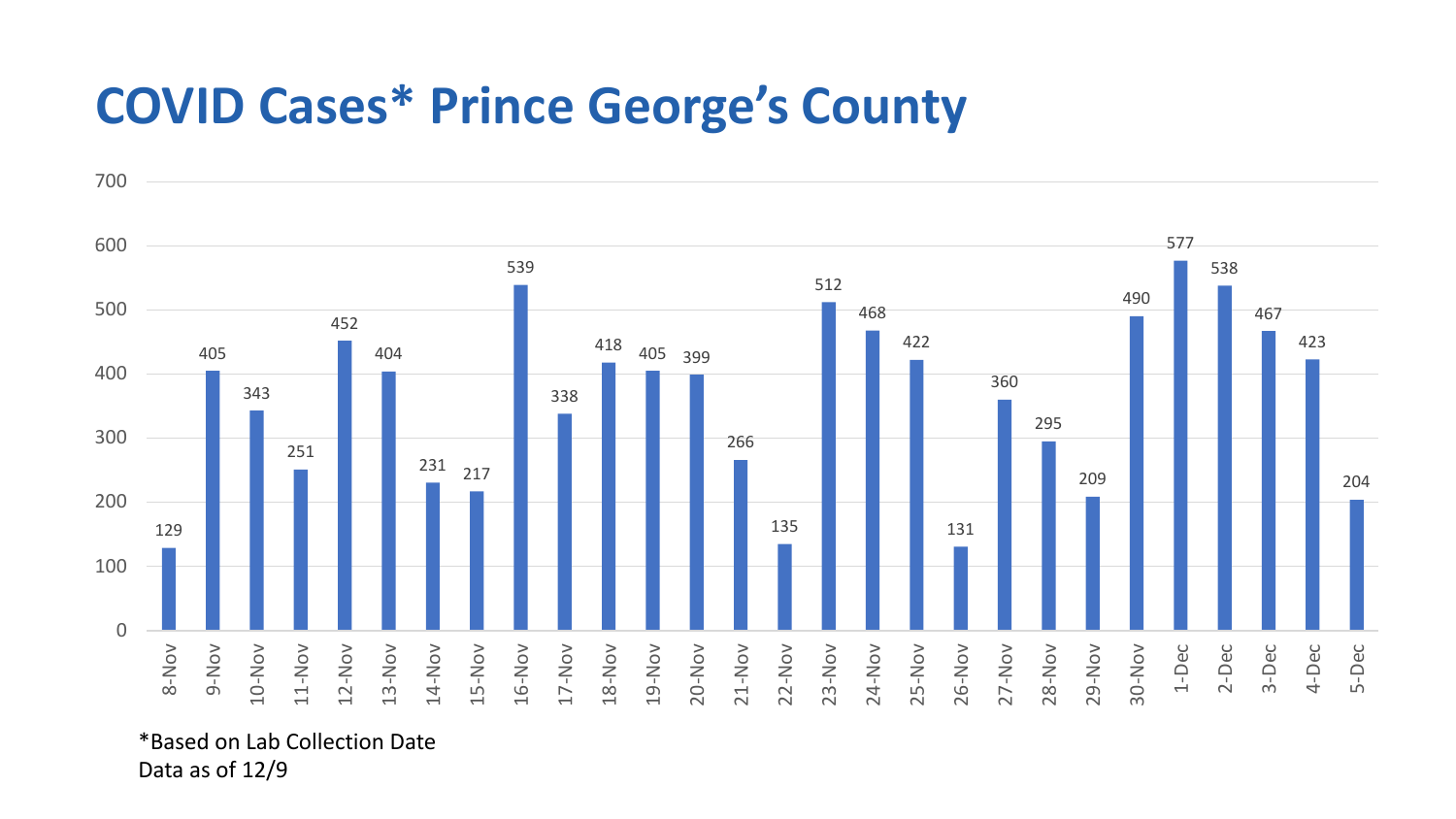## **COVID Cases\* Prince George's County**



\*Based on Lab Collection Date Data as of 12/9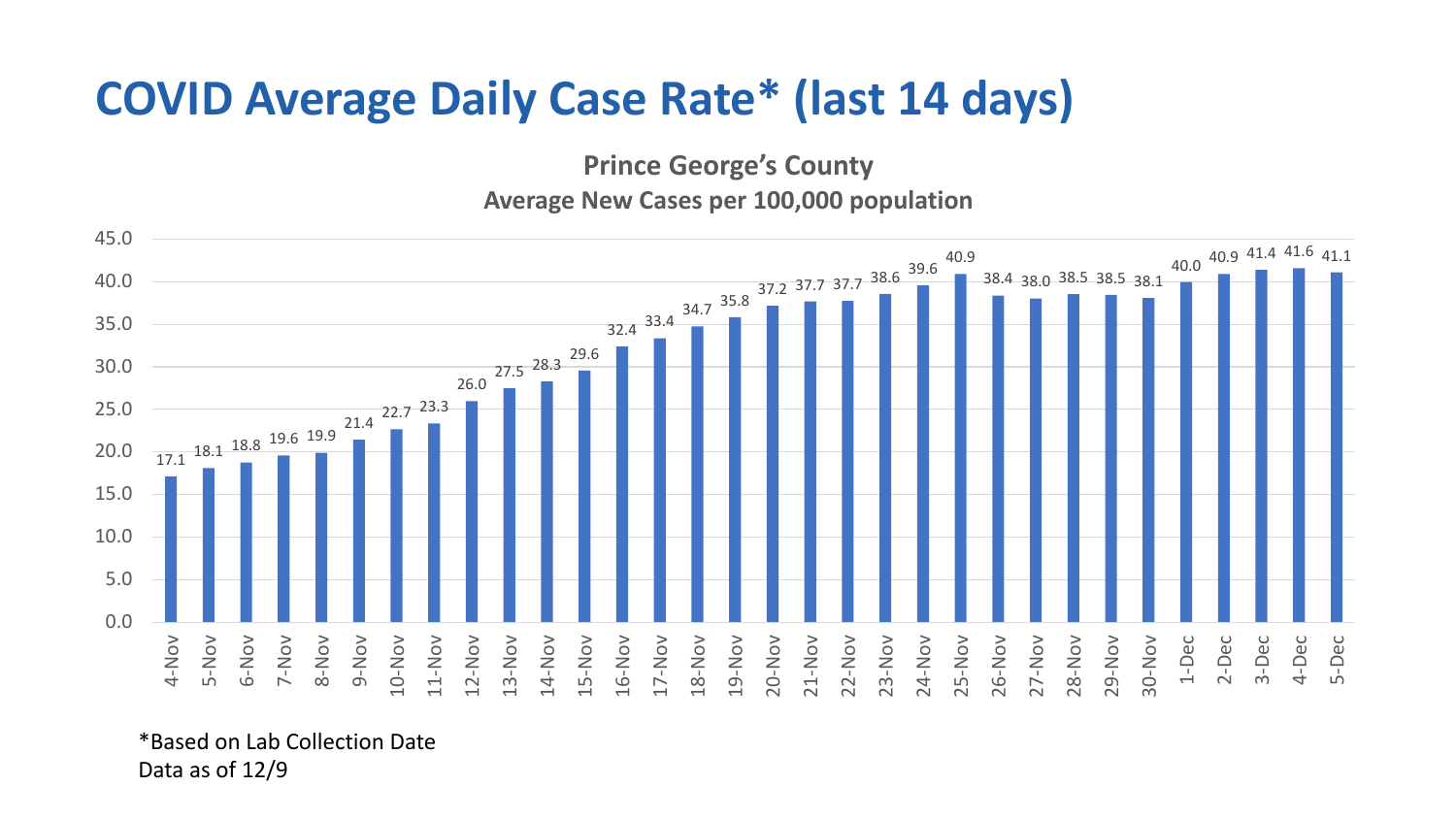## **COVID Average Daily Case Rate\* (last 14 days)**

**Prince George's County**

**Average New Cases per 100,000 population**



\*Based on Lab Collection Date Data as of 12/9